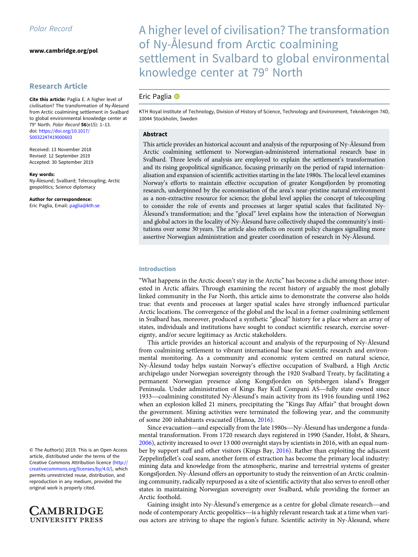[www.cambridge.org/pol](https://www.cambridge.org/pol)

# Research Article

Cite this article: Paglia E. A higher level of civilisation? The transformation of Ny-Ålesund from Arctic coalmining settlement in Svalbard to global environmental knowledge center at 79° North. Polar Record 56(e15): 1–13. doi: [https://doi.org/10.1017/](https://doi.org/10.1017/S0032247419000603) [S0032247419000603](https://doi.org/10.1017/S0032247419000603)

Received: 13 November 2018 Revised: 12 September 2019 Accepted: 30 September 2019

#### Key words:

Ny-Ålesund; Svalbard; Telecoupling; Arctic geopolitics; Science diplomacy

Author for correspondence: Eric Paglia, Email: [paglia@kth.se](mailto:paglia@kth.se)

#### © The Author(s) 2019. This is an Open Access article, distributed under the terms of the Creative Commons Attribution licence ([http://](http://creativecommons.org/licenses/by/4.0/) [creativecommons.org/licenses/by/4.0/\)](http://creativecommons.org/licenses/by/4.0/), which permits unrestricted reuse, distribution, and reproduction in any medium, provided the original work is properly cited.



A higher level of civilisation? The transformation of Ny-Ålesund from Arctic coalmining settlement in Svalbard to global environmental knowledge center at 79° North

# Eric Paglia **O**

KTH Royal Institute of Technology, Division of History of Science, Technology and Environment, Teknikringen 74D, 10044 Stockholm, Sweden

# Abstract

This article provides an historical account and analysis of the repurposing of Ny-Ålesund from Arctic coalmining settlement to Norwegian-administered international research base in Svalbard. Three levels of analysis are employed to explain the settlement's transformation and its rising geopolitical significance, focusing primarily on the period of rapid internationalisation and expansion of scientific activities starting in the late 1980s. The local level examines Norway's efforts to maintain effective occupation of greater Kongsfjorden by promoting research, underpinned by the economisation of the area's near-pristine natural environment as a non-extractive resource for science; the global level applies the concept of telecoupling to consider the role of events and processes at larger spatial scales that facilitated Ny-Ålesund's transformation; and the "glocal" level explains how the interaction of Norwegian and global actors in the locality of Ny-Ålesund have collectively shaped the community's institutions over some 30 years. The article also reflects on recent policy changes signalling more assertive Norwegian administration and greater coordination of research in Ny-Ålesund.

### Introduction

"What happens in the Arctic doesn't stay in the Arctic" has become a cliché among those interested in Arctic affairs. Through examining the recent history of arguably the most globally linked community in the Far North, this article aims to demonstrate the converse also holds true: that events and processes at larger spatial scales have strongly influenced particular Arctic locations. The convergence of the global and the local in a former coalmining settlement in Svalbard has, moreover, produced a synthetic "glocal" history for a place where an array of states, individuals and institutions have sought to conduct scientific research, exercise sovereignty, and/or secure legitimacy as Arctic stakeholders.

This article provides an historical account and analysis of the repurposing of Ny-Ålesund from coalmining settlement to vibrant international base for scientific research and environmental monitoring. As a community and economic system centred on natural science, Ny-Ålesund today helps sustain Norway's effective occupation of Svalbard, a High Arctic archipelago under Norwegian sovereignty through the 1920 Svalbard Treaty, by facilitating a permanent Norwegian presence along Kongsfjorden on Spitsbergen island's Brøgger mentar momtoring. As a community and economic system centred on natural science,<br>Ny-Ålesund today helps sustain Norway's effective occupation of Svalbard, a High Arctic<br>archipelago under Norwegian sovereignty through the 1 Ny-Alesund today helps sustain Norway's ellective occupation of Svalbard, a Filgh Arctic<br>archipelago under Norwegian sovereignty through the 1920 Svalbard Treaty, by facilitating a<br>permanent Norwegian presence along Kongsf when an explosion killed 21 miners, precipitating the "Kings Bay Affair" that brought down the government. Mining activities were terminated the following year, and the community of some 200 inhabitants evacuated (Hanoa, [2016](#page-11-0)). Simple in a explosion killed 21 miners, precipitating the "Kings Bay Affair" that brought down government. Mining activities were terminated the following year, and the community some 200 inhabitants evacuated (Hanoa, 2016

mental transformation. From 1720 research days registered in 1990 (Sander, Holst, & Shears, [2006](#page-12-0)), activity increased to over 13 000 overnight stays by scientists in 2016, with an equal number by support staff and other visitors (Kings Bay, [2016](#page-11-0)). Rather than exploiting the adjacent Zeppelinfjellet's coal seam, another form of extraction has become the primary local industry: mining data and knowledge from the atmospheric, marine and terrestrial systems of greater Kongsfjorden. Ny-Ålesund offers an opportunity to study the reinvention of an Arctic coalminrepresents the relation of an Arctic community, radically repurposed as a site of scientific activity that also serves to enroll other states in maintaining Norwegian sovereignty over Svalbard, while providing the former a Ing community, radically repurposed as a site of scientific activity that also serves to enform other<br>states in maintaining Norwegian sovereignty over Svalbard, while providing the former an<br>Arctic foothold.<br>Gaining insigh Arctic foothold.

ous actors are striving to shape the region's future. Scientific activity in Ny-Ålesund, where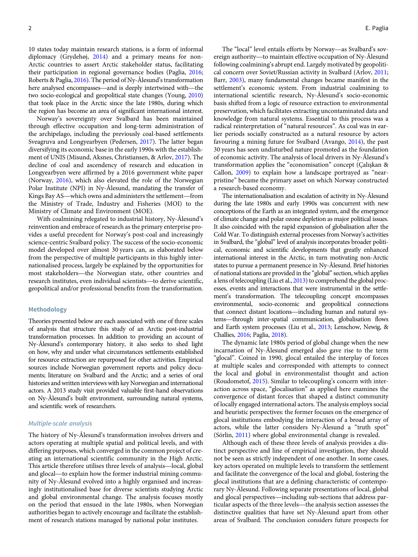10 states today maintain research stations, is a form of informal diplomacy (Grydehøj, [2014\)](#page-11-0) and a primary means for non-Arctic countries to assert Arctic stakeholder status, facilitating their participation in regional governance bodies (Paglia, [2016](#page-11-0); Roberts & Paglia, [2016](#page-12-0)). The period of Ny-Ålesund's transformation here analysed encompasses—and is deeply intertwined with—the two socio-ecological and geopolitical state changes (Young, [2010](#page-12-0)) that took place in the Arctic since the late 1980s, during which the region has become an area of significant international interest.

Norway's sovereignty over Svalbard has been maintained through effective occupation and long-term administration of the archipelago, including the previously coal-based settlements Sveagruva and Longyearbyen (Pedersen, [2017](#page-11-0)). The latter began diversifying its economic base in the early 1990s with the establishment of UNIS (Misund, Aksnes, Christiansen, & Arlov, [2017](#page-11-0)). The decline of coal and ascendency of research and education in Longyearbyen were affirmed by a 2016 government white paper (Norway, [2016](#page-11-0)), which also elevated the role of the Norwegian Polar Institute (NPI) in Ny-Ålesund, mandating the transfer of decime of coal and ascendency of research and education in<br>Longyearbyen were affirmed by a 2016 government white paper<br>(Norway, 2016), which also elevated the role of the Norwegian<br>Polar Institute (NPI) in Ny-Ålesund, mand the Ministry of Trade, Industry and Fisheries (MOI) to the Ministry of Climate and Environment (MOE).

With coalmining relegated to industrial history, Ny-Ålesund's reinvention and embrace of research as the primary enterprise provides a useful precedent for Norway's post-coal and increasingly science-centric Svalbard policy. The success of the socio-economic science-centric svabard policy. The success of the socio-economic model developed over almost 30 years can, as elaborated below<br>from the perspective of multiple participants in this highly inter-<br>nationalised process, larg from the perspective of multiple participants in this highly internationalised process, largely be explained by the opportunities for research institutes, even individual scientists—to derive scientific, the perspective of multiple participants in this highly internationalised process, largely be explained by the opportunities for most stakeholders—the N geopolitical and/or professional benefits from the transformation.

### Methodology

Theories presented below are each associated with one of three scales of analysis that structure this study of an Arctic post-industrial transformation processes. In addition to providing an account of Ny-Ålesund's contemporary history, it also seeks to shed light on how, why and under what circumstances settlements established for resource extraction are repurposed for other activities. Empirical sources include Norwegian government reports and policy documents; literature on Svalbard and the Arctic; and a series of oral histories and written interviews with key Norwegian and international actors. A 2013 study visit provided valuable first-hand observations on Ny-Ålesund's built environment, surrounding natural systems, and scientific work of researchers.

# Multiple-scale analysis

The history of Ny-Ålesund's transformation involves drivers and Ine mistory of Ny-Alesund's transformation involves drivers and<br>actors operating at multiple spatial and political levels, and with<br>differing purposes, which converged in the common project of cre-<br>ating an international s differing purposes, which converged in the common project of creating an international scientific community in the High Arctic. This article therefore utilises three levels of analysis—local, global and glocal—to explain how the former industrial mining community of Ny-Ålesund evolved into a highly organised and increasingly institutionalised base for diverse scientists studying Arctic and global environmental change. The analysis focuses mostly on the period that ensued in the late 1980s, when Norwegian authorities began to actively encourage and facilitate the establishment of research stations managed by national polar institutes.

The "local" level entails efforts by Norway—as Svalbard's sovereign authority—to maintain effective occupation of Ny-Ålesund following coalmining's abrupt end. Largely motivated by geopolitical concern over Soviet/Russian activity in Svalbard (Arlov, [2011](#page-11-0); Barr, [2003\)](#page-11-0), many fundamental changes became manifest in the settlement's economic system. From industrial coalmining to international scientific research, Ny-Ålesund's socio-economic basis shifted from a logic of resource extraction to environmental preservation, which facilitates extracting uncontaminated data and knowledge from natural systems. Essential to this process was a radical reinterpretation of "natural resources". As coal was in earlier periods socially constructed as a natural resource by actors favouring a mining future for Svalbard (Avango, [2014](#page-11-0)), the past 30 years has seen undisturbed nature promoted as the foundation of economic activity. The analysis of local drivers in Ny-Ålesund's transformation applies the "economisation" concept (Çalışkan & Callon, [2009](#page-11-0)) to explain how a landscape portrayed as "nearpristine" became the primary asset on which Norway constructed a research-based economy.

The internationalisation and escalation of activity in Ny-Ålesund during the late 1980s and early 1990s was concurrent with new conceptions of the Earth as an integrated system, and the emergence of climate change and polar ozone depletion as major political issues. It also coincided with the rapid expansion of globalisation after the Cold War. To distinguish external processes from Norway's activities in Svalbard, the "global" level of analysis incorporates broader political, economic and scientific developments that greatly enhanced international interest in the Arctic, in turn motivating non-Arctic states to pursue a permanent presence in Ny-Ålesund. Brief histories of national stations are provided in the "global"section, which applies a lens of telecoupling (Liu et al., [2013](#page-11-0)) to comprehend the global proca less of elecoupling (Liu et al., 2013) to comprehend the global processes, events and interactions that were instrumental in the settle-<br>ment's transformation. The telecoupling concept encompasses<br>environmental, socio-ec ment's transformation. The telecoupling concept encompasses environmental, socio-economic and geopolitical connections that connect distant locations—including human and natural systems—through inter-spatial communication, globalisation flows and Earth system processes (Liu et al., [2013;](#page-11-0) Lenschow, Newig, & Challies, [2016;](#page-11-0) Paglia, [2018\)](#page-11-0).

The dynamic late 1980s period of global change when the new incarnation of Ny-Ålesund emerged also gave rise to the term "glocal". Coined in 1990, glocal entailed the interplay of forces at multiple scales and corresponded with attempts to connect the local and global in environmentalist thought and action (Roudometof, [2015\)](#page-12-0). Similar to telecoupling's concern with interaction across space, "glocalisation" as applied here examines the convergence of distant forces that shaped a distinct community of locally engaged international actors. The analysis employs social and heuristic perspectives: the former focuses on the emergence of glocal institutions embodying the interaction of a broad array of actors, while the latter considers Ny-Ålesund a "truth spot" (Sörlin, [2011\)](#page-12-0) where global environmental change is revealed.

Although each of these three levels of analysis provides a distinct perspective and line of empirical investigation, they should not be seen as strictly independent of one another. In some cases, key actors operated on multiple levels to transform the settlement key actors operated on mutuple levels to transform the setuement<br>and facilitate the convergence of the local and global, fostering the<br>glocal institutions that are a defining characteristic of contempo-<br>rary Ny-Ålesund. Fo glocal institutions that are a defining characteristic of contemporary Ny-Ålesund. Following separate presentations of local, global and facturate the convergence of the focal and global, fostering the<br>glocal institutions that are a defining characteristic of contempo-<br>rary Ny-Ålesund. Following separate presentations of local, global<br>and glocal perspec distinctive qualities that have set Ny-Ålesund apart from other areas of Svalbard. The conclusion considers future prospects for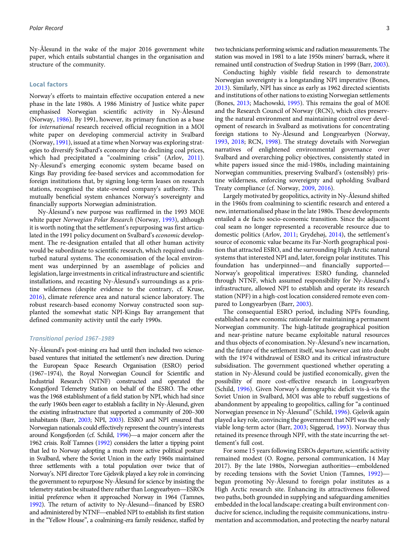Ny-Ålesund in the wake of the major 2016 government white paper, which entails substantial changes in the organisation and structure of the community.

## Local factors

Norway's efforts to maintain effective occupation entered a new phase in the late 1980s. A 1986 Ministry of Justice white paper emphasised Norwegian scientific activity in Ny-Ålesund (Norway, [1986](#page-11-0)). By 1991, however, its primary function as a base for international research received official recognition in a MOI white paper on developing commercial activity in Svalbard (Norway, [1991\)](#page-11-0), issued at a time when Norway was exploring strategies to diversify Svalbard's economy due to declining coal prices, which had precipitated a "coalmining crisis" (Arlov, [2011\)](#page-11-0). Ny-Ålesund's emerging economic system became based on Kings Bay providing fee-based services and accommodation for foreign institutions that, by signing long-term leases on research stations, recognised the state-owned company's authority. This mutually beneficial system enhances Norway's sovereignty and financially supports Norwegian administration.

Ny-Ålesund's new purpose was reaffirmed in the 1993 MOE white paper Norwegian Polar Research (Norway, [1993](#page-11-0)), although it is worth noting that the settlement's repurposing was first articulated in the 1991 policy document on Svalbard's economic development. The re-designation entailed that all other human activity would be subordinate to scientific research, which required undisturbed natural systems. The economisation of the local environment was underpinned by an assemblage of policies and legislation, large investments in critical infrastructure and scientific installations, and recasting Ny-Ålesund's surroundings as a pristine wilderness (despite evidence to the contrary, cf. Kruse, [2016](#page-11-0)), climate reference area and natural science laboratory. The robust research-based economy Norway constructed soon supplanted the somewhat static NPI-Kings Bay arrangement that defined community activity until the early 1990s.

## Transitional period 1967–1989

Ny-Ålesund's post-mining era had until then included two sciencebased ventures that initiated the settlement's new direction. During the European Space Research Organisation (ESRO) period (1967–1974), the Royal Norwegian Council for Scientific and Industrial Research (NTNF) constructed and operated the Kongsfjord Telemetry Station on behalf of the ESRO. The other was the 1968 establishment of a field station by NPI, which had since the early 1960s been eager to establish a facility in Ny-Ålesund, given the existing infrastructure that supported a community of 200–300 inhabitants (Barr, [2003;](#page-11-0) NPI, [2003\)](#page-11-0). ESRO and NPI ensured that Norwegian nationals could effectively represent the country's interests around Kongsfjorden (cf. Schild, [1996](#page-12-0))—a major concern after the 1962 crisis. Rolf Tamnes [\(1992](#page-12-0)) considers the latter a tipping point that led to Norway adopting a much more active political posture in Svalbard, where the Soviet Union in the early 1960s maintained three settlements with a total population over twice that of Norway's. NPI director Tore Gjelsvik played a key role in convincing the government to repurpose Ny-Ålesund for science by insisting the In Svaloard, where the soviet Union in the early 1960s maintained<br>three settlements with a total population over twice that of<br>Norway's. NPI director Tore Gjelsvik played a key role in convincing<br>the government to repurpos initial preference when it approached Norway in 1964 (Tamnes, [1992](#page-12-0)). The return of activity to Ny-Ålesund for science by insisting the government to repurpose Ny-Ålesund for science by insisting the telemetry station be situated there rather than Longyearbyen—ESROs initial preference and administered by NTNF—enabled NPI to establish its first station<br>administered by NTNF—enabled Norway in 1964 (Tamnes,<br>1992). The return of activity to Ny-Ålesund—financed by ESRO<br>and administered by NTNF—enabled NPI to in the "Yellow House", a coalmining-era family residence, staffed by

two technicians performing seismic and radiation measurements. The station was moved in 1981 to a late 1950s miners' barrack, where it remained until construction of Svedrup Station in 1999 (Barr, [2003\)](#page-11-0).

Conducting highly visible field research to demonstrate Norwegian sovereignty is a longstanding NPI imperative (Bones, [2013](#page-11-0)). Similarly, NPI has since as early as 1962 directed scientists and institutions of other nations to existing Norwegian settlements (Bones, [2013;](#page-11-0) Machowski, [1995\)](#page-11-0). This remains the goal of MOE and the Research Council of Norway (RCN), which cites preserving the natural environment and maintaining control over development of research in Svalbard as motivations for concentrating foreign stations to Ny-Ålesund and Longyearbyen (Norway, [1993](#page-11-0), [2018;](#page-11-0) RCN, [1998](#page-11-0)). The strategy dovetails with Norwegian narratives of enlightened environmental governance over Svalbard and overarching policy objectives, consistently stated in white papers issued since the mid-1980s, including maintaining Norwegian communities, preserving Svalbard's (ostensibly) pristine wilderness, enforcing sovereignty and upholding Svalbard Treaty compliance (cf. Norway, [2009](#page-11-0), [2016](#page-11-0)).

Largely motivated by geopolitics, activity in Ny-Ålesund shifted in the 1960s from coalmining to scientific research and entered a new, internationalised phase in the late 1980s. These developments entailed a de facto socio-economic transition. Since the adjacent coal seam no longer represented a recoverable resource due to domestic politics (Arlov, [2011](#page-11-0); Grydehøj, [2014\)](#page-11-0), the settlement's Follows (Ariov, 2011; Grydenøj, 2014), the setuement source of economic value became its Far-North geographical position that attracted ESRO, and the surrounding High Arctic natural systems that interested NPI and, later, tion that attracted ESRO, and the surrounding High Arctic natural systems that interested NPI and, later, foreign polar institutes. This Norway's geopolitical imperatives: ESRO funding, channeled through NTNF, which assumed responsibility for Ny-Ålesund's infrastructure, allowed NPI to establish and operate its research station (NPF) in a high-cost location considered remote even compared to Longyearbyen (Barr, [2003](#page-11-0)).

The consequential ESRO period, including NPFs founding, established a new economic rationale for maintaining a permanent Norwegian community. The high-latitude geographical position and near-pristine nature became exploitable natural resources and thus objects of economisation. Ny-Ålesund's new incarnation, and the future of the settlement itself, was however cast into doubt with the 1974 withdrawal of ESRO and its critical infrastructure subsidisation. The government questioned whether operating a station in Ny-Ålesund could be justified economically, given the possibility of more cost-effective research in Longyearbyen (Schild, [1996\)](#page-12-0). Given Norway's demographic deficit vis-à-vis the Soviet Union in Svalbard, MOI was able to rebuff suggestions of abandonment by appealing to geopolitics, calling for "a continued Norwegian presence in Ny-Ålesund" (Schild, [1996\)](#page-12-0). Gjelsvik again played a key role, convincing the government that NPI was the only viable long-term actor (Barr, [2003;](#page-11-0) Siggerud, [1993\)](#page-12-0). Norway thus retained its presence through NPF, with the state incurring the settlement's full cost.

For some 15 years following ESROs departure, scientific activity remained modest (O. Rogne, personal communication, 14 May Fetamed its presence through NPP, with the state incurring the set-<br>tlement's full cost.<br>For some 15 years following ESROs departure, scientific activity<br>remained modest (O. Rogne, personal communication, 14 May<br>2017). By tement s fun cost.<br>For some 15 years following ESROs departure, scientific activity<br>remained modest (O. Rogne, personal communication, 14 May<br>2017). By the late 1980s, Norwegian authorities—emboldened<br>by receding tensions begun promoting Ny-Ålesund to foreign polar institutes as a High Arctic research site. Enhancing its attractiveness followed two paths, both grounded in supplying and safeguarding amenities embedded in the local landscape: creating a built environment conducive for science, including the requisite communications, instrumentation and accommodation, and protecting the nearby natural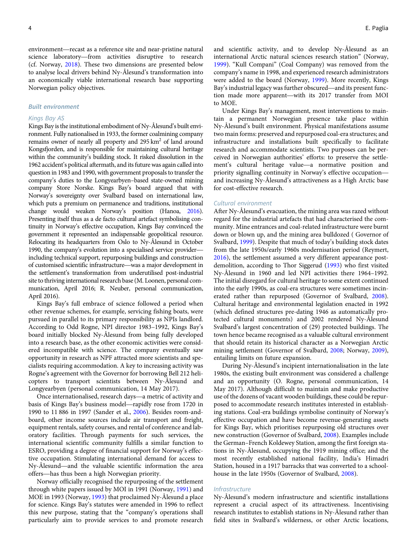environment—recast as a reference site and near-pristine natural 4<br>environment—recast as a reference site and near-pristine natural<br>science laboratory—from activities disruptive to research (cf. Norway, [2018\)](#page-11-0). These two dimensions are presented below to analyse local drivers behind Ny-Ålesund's transformation into an economically viable international research base supporting Norwegian policy objectives.

## Built environment

### Kings Bay AS

Kings Bay is the institutional embodiment of Ny-Ålesund's built environment. Fully nationalised in 1933, the former coalmining company remains owner of nearly all property and 295 km<sup>2</sup> of land around Kongsfjorden, and is responsible for maintaining cultural heritage within the community's building stock. It risked dissolution in the 1962 accident's political aftermath, and its future was again called into question in 1983 and 1990, with government proposals to transfer the company's duties to the Longyearbyen–based state-owned mining company Store Norske. Kings Bay's board argued that with Norway's sovereignty over Svalbard based on international law, which puts a premium on permanence and traditions, institutional change would weaken Norway's position (Hanoa, [2016](#page-11-0)). Presenting itself thus as a de facto cultural artefact symbolising continuity in Norway's effective occupation, Kings Bay convinced the government it represented an indispensable geopolitical resource. Relocating its headquarters from Oslo to Ny-Ålesund in October Presenting itself thus as a de facto cultural arteact symbolising continuity in Norway's effective occupation, Kings Bay convinced the government it represented an indispensable geopolitical resource.<br>Relocating its headqu including technical support, repurposing buildings and construction government it represented an indispensable geopolitical resource.<br>Relocating its headquarters from Oslo to Ny-Ålesund in October<br>1990, the company's evolution into a specialised service provider—<br>including technical suppor the settlement's transformation from underutilised post-industrial site to thriving international research base (M. Loonen, personal communication, April 2016; R. Neuber, personal communication, April 2016).

Kings Bay's full embrace of science followed a period when other revenue schemes, for example, servicing fishing boats, were pursued in parallel to its primary responsibility as NPIs landlord. According to Odd Rogne, NPI director 1983–1992, Kings Bay's board initially blocked Ny-Ålesund from being fully developed into a research base, as the other economic activities were considered incompatible with science. The company eventually saw opportunity in research as NPF attracted more scientists and specialists requiring accommodation. A key to increasing activity was Rogne's agreement with the Governor for borrowing Bell 212 helicopters to transport scientists between Ny-Ålesund and Longyearbyen (personal communication, 14 May 2017). asts requiring accommodation. A key to increasing activity was<br>gne's agreement with the Governor for borrowing Bell 212 heli-<br>ters to transport scientists between Ny-Ålesund and<br>agyearbyen (personal communication, 14 May 2 Rogne s agreement with the Governor for borrowing Bell 212 nen-<br>copters to transport scientists between Ny-Ålesund and<br>Longyearbyen (personal communication, 14 May 2017).<br>Once internationalised, research days—a metric of a

1990 to 11 886 in 1997 (Sander et al., [2006](#page-12-0)). Besides room-andboard, other income sources include air transport and freight, equipment rentals, safety courses, and rental of conference and laboratory facilities. Through payments for such services, the international scientific community fulfills a similar function to ESRO, providing a degree of financial support for Norway's effective occupation. Stimulating international demand for access to oratory racinties. Through payments for such services, the<br>international scientific community fulfills a similar function to<br>ESRO, providing a degree of financial support for Norway's effec-<br>tive occupation. Stimulating in mernational scientific community fullins a sim<br>ESRO, providing a degree of financial support for<br>tive occupation. Stimulating international demai<br>Ny-Ålesund—and the valuable scientific inform<br>offers—has thus been a high No

Norway officially recognised the repurposing of the settlement through white papers issued by MOI in 1991 (Norway, [1991\)](#page-11-0) and MOE in 1993 (Norway, [1993\)](#page-11-0) that proclaimed Ny-Ålesund a place for science. Kings Bay's statutes were amended in 1996 to reflect this new purpose, stating that the "company's operations shall particularly aim to provide services to and promote research and scientific activity, and to develop Ny-Ålesund as an international Arctic natural sciences research station" (Norway, [1999\)](#page-11-0). "Kull Compani" (Coal Company) was removed from the company's name in 1998, and experienced research administrators were added to the board (Norway, [1999\)](#page-11-0). More recently, Kings Bay's industrial legacy was further obscured—and its present function made more apparent—with its 2017 transfer from MOI to MOE.

Under Kings Bay's management, most interventions to maintain a permanent Norwegian presence take place within Ny-Ålesund's built environment. Physical manifestations assume two main forms: preserved and repurposed coal-era structures; and Infrastructure and installations built specifically to facilitate research and accommodate scientists. Two purposes can be perceived in Norwegian authorities' efforts: to preserve the settlement's cultural heritage value—a research and accommodate scientists. Two purposes can be perceived in Norwegian authorities' efforts: to preserve the settlement's cultural heritage value—a normative position and priority signalling continuity in Norway's effective occupation and increasing Ny-Ålesund's attractiveness as a High Arctic base for cost-effective research.

### Cultural environment

After Ny-Ålesund's evacuation, the mining area was razed without regard for the industrial artefacts that had characterised the community. Mine entrances and coal-related infrastructure were burnt down or blown up, and the mining area bulldozed ( Governor of Svalbard, [1999\)](#page-11-0). Despite that much of today's building stock dates from the late 1950s/early 1960s modernisation period (Reymert, [2016\)](#page-12-0), the settlement assumed a very different appearance postdemolition, according to Thor Siggerud ([1993\)](#page-12-0) who first visited Ny-Ålesund in 1960 and led NPI activities there 1964–1992. The initial disregard for cultural heritage to some extent continued into the early 1990s, as coal-era structures were sometimes incinerated rather than repurposed (Governor of Svalbard, [2008](#page-11-0)). Cultural heritage and environmental legislation enacted in 1992 (which defined structures pre-dating 1946 as automatically protected cultural monuments) and 2002 rendered Ny-Ålesund Svalbard's largest concentration of (29) protected buildings. The town hence became recognised as a valuable cultural environment that should retain its historical character as a Norwegian Arctic mining settlement (Governor of Svalbard, [2008;](#page-11-0) Norway, [2009](#page-11-0)), entailing limits on future expansion.

During Ny-Ålesund's incipient internationalisation in the late 1980s, the existing built environment was considered a challenge and an opportunity (O. Rogne, personal communication, 14 May 2017). Although difficult to maintain and make productive use of the dozens of vacant wooden buildings, these could be repurposed to accommodate research institutes interested in establishing stations. Coal-era buildings symbolise continuity of Norway's effective occupation and have become revenue-generating assets for Kings Bay, which prioritises repurposing old structures over new construction (Governor of Svalbard, [2008](#page-11-0)). Examples include the German–French Koldewey Station, among the first foreign stations in Ny-Ålesund, occupying the 1919 mining office; and the most recently established national facility, India's Himadri Station, housed in a 1917 barracks that was converted to a schoolhouse in the late 1950s (Governor of Svalbard, [2008\)](#page-11-0).

## **Infrastructure**

Ny-Ålesund's modern infrastructure and scientific installations represent a crucial aspect of its attractiveness. Incentivising research institutes to establish stations in Ny-Ålesund rather than field sites in Svalbard's wilderness, or other Arctic locations,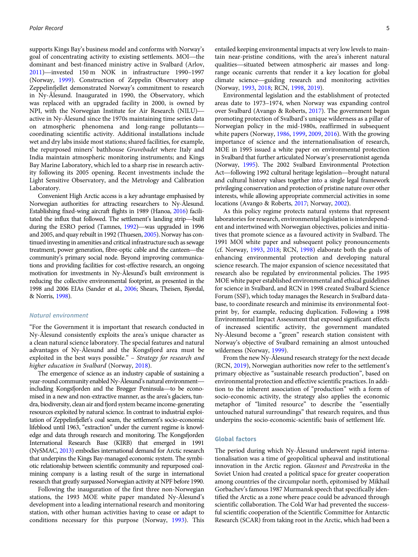supports Kings Bay's business model and conforms with Norway's Polar Record<br>supports Kings Bay's business model and conforms with Norway's<br>goal of concentrating activity to existing settlements. MOI—the dominant and best-financed ministry active in Svalbard (Arlov, supports Kings Bay's business model and conforms with Norway's goal of concentrating activity to existing settlements. MOI—the dominant and best-financed ministry active in Svalbard (Arlov, [2011](#page-11-0))—invested 150 m NOK in infr (Norway, [1999\)](#page-11-0). Construction of Zeppelin Observatory atop Zeppelinfjellet demonstrated Norway's commitment to research NPI, with the Norwegian Institute for Air Research (NILU) in Ny-Ålesund. Inaugurated in 1990, the Observatory, which was replaced with an upgraded facility in 2000, is owned by active in Ny-Ålesund since the 1970s maintaining time series data NPI, with the Norwegian Institute for Air Research (NILU)—<br>active in Ny-Ålesund since the 1970s maintaining time series data<br>on atmospheric phenomena and long-range pollutants coordinating scientific activity. Additional installations include wet and dry labs inside most stations; shared facilities, for example, the repurposed miners' bathhouse Gruvebadet where Italy and India maintain atmospheric monitoring instruments; and Kings Bay Marine Laboratory, which led to a sharp rise in research activity following its 2005 opening. Recent investments include the Light Sensitive Observatory, and the Metrology and Calibration Laboratory.

Convenient High Arctic access is a key advantage emphasised by Norwegian authorities for attracting researchers to Ny-Ålesund. Establishing fixed-wing aircraft flights in 1989 (Hanoa, [2016](#page-11-0)) facili-Laboratory.<br>Convenient High Arctic access is a key advantage emphasised by<br>Norwegian authorities for attracting researchers to Ny-Ålesund.<br>Establishing fixed-wing aircraft flights in 1989 (Hanoa, 2016) facili-<br>tated the in Convenient Fight Arctic access is a key advantage emphasised by<br>Norwegian authorities for attracting researchers to Ny-Ålesund.<br>Establishing fixed-wing aircraft flights in 1989 (Hanoa, 2016) facili-<br>tated the influx that f and 2005, and quay rebuilt in 1992 (Thuesen, [2005\)](#page-12-0). Norway has continued investing in amenities and critical infrastructure such as sewage tated the finlux that followed. The setuement's fanding strip—build<br>during the ESRO period (Tamnes, 1992)—was upgraded in 1996<br>and 2005, and quay rebuilt in 1992 (Thuesen, 2005). Norway has con-<br>tinued investing in ameniti community's primary social node. Beyond improving communications and providing facilities for cost-effective research, an ongoing motivation for investments in Ny-Ålesund's built environment is reducing the collective environmental footprint, as presented in the 1998 and 2006 EIAs (Sander et al., [2006](#page-12-0); Shears, Theisen, Bjørdal, & Norris, [1998](#page-12-0)).

### Natural environment

"For the Government it is important that research conducted in Ny-Ålesund consistently exploits the area's unique character as a clean natural science laboratory. The special features and natural advantages of Ny-Ålesund and the Kongsfjord area must be advantages of Ny-Alesund and the Kongsijord area must be<br>exploited in the best ways possible." – *Strategy for research and*<br>higher education in Svalbard (Norway, 2018).<br>The emergence of science as an industry capable of s higher education in Svalbard (Norway, [2018\)](#page-11-0).

The emergence of science as an industry capable of sustaining a year-round community enabled Ny-Ålesund's natural environment—<br>including Kongsfjorden and the Brøgger Peninsula—to be economised in a new and non-extractive manner, as the area's glaciers, tundra, biodiversity, clean air and fjord system became income-generating resources exploited by natural science. In contrast to industrial exploitation of Zeppelinfjellet's coal seam, the settlement's socio-economic lifeblood until 1963, "extraction" under the current regime is knowledge and data through research and monitoring. The Kongsfjorden International Research Base (KIRB) that emerged in 1991 (NySMAC, [2013](#page-11-0)) embodies international demand for Arctic research that underpins the Kings Bay-managed economic system. The symbiotic relationship between scientific community and repurposed coalmining company is a lasting result of the surge in international research that greatly surpassed Norwegian activity at NPF before 1990.

Following the inauguration of the first three non-Norwegian stations, the 1993 MOE white paper mandated Ny-Ålesund's development into a leading international research and monitoring station, with other human activities having to cease or adapt to conditions necessary for this purpose (Norway, [1993\)](#page-11-0). This

entailed keeping environmental impacts at very low levels to mainentaned keeping environmental impacts at very low levels to maintain near-pristine conditions, with the area's inherent natural qualities—situated between atmospheric air masses and long-<br>range oceanic currents that render entailed keeping environmental impacts at very low levels to maintain near-pristine conditions, with the area's inherent natural qualities—situated between atmospheric air masses and longrange oceanic currents that render it a key location for global (Norway, [1993,](#page-11-0) [2018;](#page-11-0) RCN, [1998](#page-11-0), [2019](#page-12-0)).

Environmental legislation and the establishment of protected areas date to 1973–1974, when Norway was expanding control over Svalbard (Avango & Roberts, [2017](#page-11-0)). The government began promoting protection of Svalbard's unique wilderness as a pillar of Norwegian policy in the mid-1980s, reaffirmed in subsequent white papers (Norway, [1986](#page-11-0), [1999](#page-11-0), [2009,](#page-11-0) [2016](#page-11-0)). With the growing importance of science and the internationalisation of research, miportance of science and the internationalisation of research,<br>MOE in 1995 issued a white paper on environmental protection<br>in Svalbard that further articulated Norway's preservationist agenda<br>(Norway, 1995). The 2002 Sva in Svalbard that further articulated Norway's preservationist agenda (Norway, [1995](#page-11-0)). The 2002 Svalbard Environmental Protection and cultural history values together into a single legal framework privileging conservation and protection of pristine nature over other interests, while allowing appropriate commercial activities in some locations (Avango & Roberts, [2017](#page-11-0); Norway, [2002](#page-11-0)).

As this policy regime protects natural systems that represent laboratories for research, environmental legislation is interdependent and intertwined with Norwegian objectives, policies and initiatives that promote science as a favoured activity in Svalbard. The 1991 MOI white paper and subsequent policy pronouncements (cf. Norway, [1993,](#page-11-0) [2018](#page-11-0); RCN, [1998\)](#page-11-0) elaborate both the goals of enhancing environmental protection and developing natural science research. The major expansion of science necessitated that research also be regulated by environmental policies. The 1995 MOE white paper established environmental and ethical guidelines for science in Svalbard, and RCN in 1998 created Svalbard Science Forum (SSF), which today manages the Research in Svalbard database, to coordinate research and minimise its environmental footprint by, for example, reducing duplication. Following a 1998 Environmental Impact Assessment that exposed significant effects of increased scientific activity, the government mandated Ny-Ålesund become a "green" research station consistent with Norway's objective of Svalbard remaining an almost untouched wilderness (Norway, [1999](#page-11-0)).

From the new Ny-Ålesund research strategy for the next decade (RCN, [2019](#page-12-0)), Norwegian authorities now refer to the settlement's primary objective as "sustainable research production", based on environmental protection and effective scientific practices. In addition to the inherent association of "production" with a form of socio-economic activity, the strategy also applies the economic metaphor of "limited resource" to describe the "essentially untouched natural surroundings" that research requires, and thus underpins the socio-economic-scientific basis of settlement life.

## Global factors

The period during which Ny-Ålesund underwent rapid internationalisation was a time of geopolitical upheaval and institutional innovation in the Arctic region. Glasnost and Perestroika in the Soviet Union had created a political space for greater cooperation among countries of the circumpolar north, epitomised by Mikhail Gorbachev's famous 1987 Murmansk speech that specifically identified the Arctic as a zone where peace could be advanced through scientific collaboration. The Cold War had prevented the successful scientific cooperation of the Scientific Committee for Antarctic Research (SCAR) from taking root in the Arctic, which had been a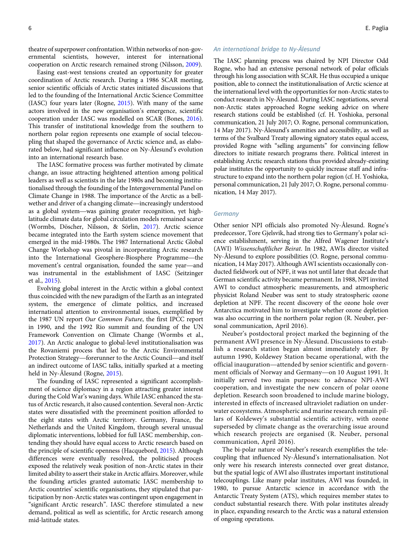theatre of superpower confrontation. Within networks of non-governmental scientists, however, interest for international cooperation on Arctic research remained strong (Nilsson, [2009\)](#page-11-0).

Easing east-west tensions created an opportunity for greater coordination of Arctic research. During a 1986 SCAR meeting, senior scientific officials of Arctic states initiated discussions that led to the founding of the International Arctic Science Committee (IASC) four years later (Rogne, [2015\)](#page-12-0). With many of the same actors involved in the new organisation's emergence, scientific cooperation under IASC was modelled on SCAR (Bones, [2016](#page-11-0)). This transfer of institutional knowledge from the southern to northern polar region represents one example of social telecoupling that shaped the governance of Arctic science and, as elaborated below, had significant influence on Ny-Ålesund's evolution into an international research base.

The IASC formative process was further motivated by climate change, an issue attracting heightened attention among political leaders as well as scientists in the late 1980s and becoming institutionalised through the founding of the Intergovernmental Panel on Climate Change in 1988. The importance of the Arctic as a bellchange, an issue attracting heightened attention among political<br>leaders as well as scientists in the late 1980s and becoming institu-<br>tionalised through the founding of the Intergovernmental Panel on<br>Climate Change in 198 readers as wen as scientists in the rate 1960s and becoming institu-<br>tionalised through the founding of the Intergovernmental Panel on<br>Climate Change in 1988. The importance of the Arctic as a bell-<br>wether and driver of a latitude climate data for global circulation models remained scarce (Wormbs, Döscher, Nilsson, & Sörlin, [2017](#page-12-0)). Arctic science (wormos, Doscher, Nilsson, & Sorilli, 2017). Arctic science<br>became integrated into the Earth system science movement that<br>emerged in the mid-1980s. The 1987 International Arctic Global<br>Change Workshop was pivotal in incorp became integrated into the Earth system science movement that emerged in the mid-1980s. The 1987 International Arctic Global Change Workshop was pivotal in incorporating Arctic research into the International Geosphere-Bio Change Workshop was pivotal in incorporating Arctic research was instrumental in the establishment of IASC (Seitzinger et al., [2015\)](#page-12-0).

Evolving global interest in the Arctic within a global context thus coincided with the new paradigm of the Earth as an integrated system, the emergence of climate politics, and increased international attention to environmental issues, exemplified by the 1987 UN report Our Common Future, the first IPCC report in 1990, and the 1992 Rio summit and founding of the UN In 1990, and the 1992 Kio summit and founding of the ON<br>Framework Convention on Climate Change (Wormbs et al.,<br>2017). An Arctic analogue to global-level institutionalisation was<br>the Rovaniemi process that led to the Arctic [2017\)](#page-12-0). An Arctic analogue to global-level institutionalisation was the Rovaniemi process that led to the Arctic Environmental an indirect outcome of IASC talks, initially sparked at a meeting held in Ny-Ålesund (Rogne, [2015\)](#page-12-0).

The founding of IASC represented a significant accomplishment of science diplomacy in a region attracting greater interest during the Cold War's waning days. While IASC enhanced the status of Arctic research, it also caused contention. Several non-Arctic states were dissatisfied with the preeminent position afforded to the eight states with Arctic territory. Germany, France, the Netherlands and the United Kingdom, through several unusual diplomatic interventions, lobbied for full IASC membership, contending they should have equal access to Arctic research based on the principle of scientific openness (Hacquebord, [2015\)](#page-11-0). Although differences were eventually resolved, the politicised process exposed the relatively weak position of non-Arctic states in their limited ability to assert their stake in Arctic affairs. Moreover, while the founding articles granted automatic IASC membership to Arctic countries' scientific organisations, they stipulated that participation by non-Arctic states was contingent upon engagement in "significant Arctic research". IASC therefore stimulated a new demand, political as well as scientific, for Arctic research among mid-latitude states.

# An international bridge to Ny-Ålesund

The IASC planning process was chaired by NPI Director Odd Rogne, who had an extensive personal network of polar officials through his long association with SCAR. He thus occupied a unique position, able to connect the institutionalisation of Arctic science at the international level with the opportunities for non-Arctic states to conduct research in Ny-Ålesund. During IASC negotiations, several non-Arctic states approached Rogne seeking advice on where research stations could be established (cf. H. Yoshioka, personal communication, 21 July 2017; O. Rogne, personal communication, 14 May 2017). Ny-Ålesund's amenities and accessibility, as well as terms of the Svalbard Treaty allowing signatory states equal access, provided Rogne with "selling arguments" for convincing fellow directors to initiate research programs there. Political interest in establishing Arctic research stations thus provided already-existing polar institutes the opportunity to quickly increase staff and infrastructure to expand into the northern polar region (cf. H. Yoshioka, personal communication, 21 July 2017; O. Rogne, personal communication, 14 May 2017).

## **Germany**

Other senior NPI officials also promoted Ny-Ålesund. Rogne's predecessor, Tore Gjelsvik, had strong ties to Germany's polar science establishment, serving in the Alfred Wagener Institute's (AWI) Wissenschaftlicher Beirat. In 1982, AWIs director visited Ny-Ålesund to explore possibilities (O. Rogne, personal communication, 14 May 2017). Although AWI scientists occasionally conducted fieldwork out of NPF, it was not until later that decade that German scientific activity became permanent. In 1988, NPI invited AWI to conduct atmospheric measurements, and atmospheric physicist Roland Neuber was sent to study stratospheric ozone depletion at NPF. The recent discovery of the ozone hole over Antarctica motivated him to investigate whether ozone depletion was also occurring in the northern polar region (R. Neuber, personal communication, April 2016).

Neuber's postdoctoral project marked the beginning of the permanent AWI presence in Ny-Ålesund. Discussions to establish a research station began almost immediately after. By autumn 1990, Koldewey Station became operational, with the Neuver s postdoctoral project marked the beginning of the<br>permanent AWI presence in Ny-Ålesund. Discussions to estab-<br>lish a research station began almost immediately after. By<br>autumn 1990, Koldewey Station became operatio permanent Awr presence in Ny-Alesund. Discussions to estab-<br>lish a research station began almost immediately after. By<br>autumn 1990, Koldewey Station became operational, with the<br>official inauguration—attended by senior sci initially served two main purposes: to advance NPI-AWI cooperation, and investigate the new concern of polar ozone depletion. Research soon broadened to include marine biology, interested in effects of increased ultraviolet radiation on underwater ecosystems. Atmospheric and marine research remain pillars of Koldewey's substantial scientific activity, with ozone superseded by climate change as the overarching issue around which research projects are organised (R. Neuber, personal communication, April 2016).

The bi-polar nature of Neuber's research exemplifies the telecoupling that influenced Ny-Ålesund's internationalisation. Not only were his research interests connected over great distance, but the spatial logic of AWI also illustrates important institutional telecouplings. Like many polar institutes, AWI was founded, in 1980, to pursue Antarctic science in accordance with the Antarctic Treaty System (ATS), which requires member states to conduct substantial research there. With polar institutes already in place, expanding research to the Arctic was a natural extension of ongoing operations.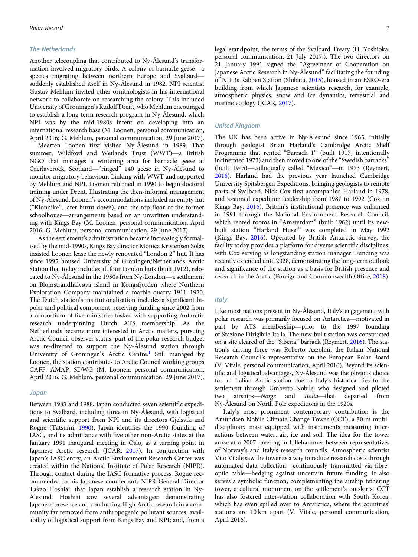# The Netherlands

Another telecoupling that contributed to Ny-Ålesund's transfor-The Netherlands<br>Another telecoupling that contributed to Ny-Ålesund's transfor-<br>mation involved migratory birds. A colony of barnacle geese—a The Netherlands<br>Another telecoupling that contributed to Ny-Ålesund's transfor-<br>mation involved migratory birds. A colony of barnacle geese—a<br>species migrating between northern Europe and Svalbard suddenly established itself in Ny-Ålesund in 1982. NPI scientist Gustav Mehlum invited other ornithologists in his international network to collaborate on researching the colony. This included University of Groningen's Rudolf Drent, who Mehlum encouraged to establish a long-term research program in Ny-Ålesund, which NPI was by the mid-1980s intent on developing into an international research base (M. Loonen, personal communication, April 2016; G. Mehlum, personal communication, 29 June 2017). summer was by the find-1980s intent on developing into an<br>international research base (M. Loonen, personal communication,<br>April 2016; G. Mehlum, personal communication, 29 June 2017).<br>Maarten Loonen first visited Ny-Ålesun

Maarten Loonen first visited Ny-Ålesund in 1989. That NGO that manages a wintering area for barnacle geese at April 2016; G. Menium, personal communication, 29 June 2017).<br>Maarten Loonen first visited Ny-Ålesund in 1989. That<br>summer, Wildfowl and Wetlands Trust (WWT)—a British<br>NGO that manages a wintering area for barnacle geese a monitor migratory behaviour. Linking with WWT and supported by Mehlum and NPI, Loonen returned in 1990 to begin doctoral by Memum and NPI, Loonen returned in 1990 to begin doctoral<br>training under Drent. Illustrating the then-informal management<br>of Ny-Ålesund, Loonen's accommodations included an empty hut<br>("Klondike", later burnt down), and t of Ny-Ålesund, Loonen's accommodations included an empty hut ("Klondike", later burnt down), and the top floor of the former ing with Kings Bay (M. Loonen, personal communication, April 2016; G. Mehlum, personal communication, 29 June 2017).

As the settlement's administration became increasingly formalised by the mid-1990s, Kings Bay director Monica Kristensen Solås ised by the mid-1990s, Kings Bay director Monica Kristensen Solas<br>insisted Loonen lease the newly renovated "London 2" hut. It has<br>since 1995 housed University of Groningen/Netherlands Arctic<br>Station that today includes al since 1995 housed University of Groningen/Netherlands Arctic Station that today includes all four London huts (built 1912), reloon Blomstrandhalvøya island in Kongsfjorden where Northern Exploration Company maintained a marble quarry 1911–1920. The Dutch station's institutionalisation includes a significant bipolar and political component, receiving funding since 2002 from a consortium of five ministries tasked with supporting Antarctic research underpinning Dutch ATS membership. As the Netherlands became more interested in Arctic matters, pursuing Arctic Council observer status, part of the polar research budget was re-directed to support the Ny-Ålesund station through University of Groningen's Arctic Centre.<sup>[1](#page-11-0)</sup> Still managed by Loonen, the station contributes to Arctic Council working groups CAFF, AMAP, SDWG (M. Loonen, personal communication, April 2016; G. Mehlum, personal communication, 29 June 2017).

### Japan

Between 1983 and 1988, Japan conducted seven scientific expeditions to Svalbard, including three in Ny-Ålesund, with logistical and scientific support from NPI and its directors Gjelsvik and Rogne (Tatsumi, [1990](#page-12-0)). Japan identifies the 1990 founding of IASC, and its admittance with five other non-Arctic states at the January 1991 inaugural meeting in Oslo, as a turning point in Japanese Arctic research (JCAR, [2017\)](#page-11-0). In conjunction with Japan's IASC entry, an Arctic Environment Research Center was created within the National Institute of Polar Research (NIPR). Through contact during the IASC formative process, Rogne recommended to his Japanese counterpart, NIPR General Director Takao Hoshiai, that Japan establish a research station in Ny-Ålesund. Hoshiai saw several advantages: demonstrating Japanese presence and conducting High Arctic research in a community far removed from anthropogenic pollutant sources; availability of logistical support from Kings Bay and NPI; and, from a

legal standpoint, the terms of the Svalbard Treaty (H. Yoshioka, personal communication, 21 July 2017.). The two directors on 21 January 1991 signed the "Agreement of Cooperation on Japanese Arctic Research in Ny-Ålesund" facilitating the founding of NIPRs Rabben Station (Shibata, [2015\)](#page-12-0), housed in an ESRO-era building from which Japanese scientists research, for example, atmospheric physics, snow and ice dynamics, terrestrial and marine ecology (JCAR, [2017](#page-11-0)).

### United Kingdom

The UK has been active in Ny-Ålesund since 1965, initially through geologist Brian Harland's Cambridge Arctic Shelf Programme that rented "Barrack 1" (built 1917, intentionally incinerated 1973) and then moved to one of the "Swedish barracks" (built 1945)—colloquially called "Mexico"—in 1973 (Reymert, The OK has been active in Ny-Alesund since 1965, initially<br>through geologist Brian Harland's Cambridge Arctic Shelf<br>Programme that rented "Barrack 1" (built 1917, intentionally<br>incinerated 1973) and then moved to one of th [2016](#page-12-0)). Harland had the previous year launched Cambridge University Spitsbergen Expeditions, bringing geologists to remote parts of Svalbard. Nick Cox first accompanied Harland in 1978, and assumed expedition leadership from 1987 to 1992 (Cox, in Kings Bay, [2016\)](#page-11-0). Britain's institutional presence was enhanced in 1991 through the National Environment Research Council, which rented rooms in "Amsterdam" (built 1962) until its newbuilt station "Harland Huset" was completed in May 1992 (Kings Bay, [2016](#page-11-0)). Operated by British Antarctic Survey, the facility today provides a platform for diverse scientific disciplines, with Cox serving as longstanding station manager. Funding was recently extended until 2028, demonstrating the long-term outlook and significance of the station as a basis for British presence and research in the Arctic (Foreign and Commonwealth Office, [2018\)](#page-11-0).

## **Italy**

Like most nations present in Ny-Ålesund, Italy's engagement with Italy<br>Like most nations present in Ny-Ålesund, Italy's engagement with<br>polar research was primarily focused on Antarctica—motivated in polar research was primarily focused on Antarctica—motivated in<br>part by ATS membership—prior to the 1997 founding of Stazione Dirigibile Italia. The new-built station was constructed on a site cleared of the "Siberia" barrack (Reymert, [2016](#page-12-0)). The station's driving force was Roberto Azzolini, the Italian National Research Council's representative on the European Polar Board (V. Vitale, personal communication, April 2016). Beyond its scien-(v. vidae, personal communication, April 2016). Beyond its scientific and logistical advantages, Ny-Ålesund was the obvious choice for an Italian Arctic station due to Italy's historical ties to the settlement through Umbe for an Italian Arctic station due to Italy's historical ties to the settlement through Umberto Nobile, who designed and piloted Ny-Ålesund on North Pole expeditions in the 1920s.

Italy's most prominent contemporary contribution is the Amundsen-Nobile Climate Change Tower (CCT), a 30-m multidisciplinary mast equipped with instruments measuring interactions between water, air, ice and soil. The idea for the tower actions between water, air, ice and soil. The idea for the tower<br>arose at a 2007 meeting in Lillehammer between representatives<br>of Norway's and Italy's research councils. Atmospheric scientist<br>Vito Vitale saw the tower as arose at a 2007 meeting in Emenanmer between representatives<br>of Norway's and Italy's research councils. Atmospheric scientist<br>Vito Vitale saw the tower as a way to reduce research costs through<br>automated data collection—co Vito Vitale saw the tower as a way to reduce research costs through serves a symbolic function, complementing the airship tethering tower, a cultural monument on the settlement's outskirts. CCT has also fostered inter-station collaboration with South Korea, which has even spilled over to Antarctica, where the countries' stations are 10 km apart (V. Vitale, personal communication, April 2016).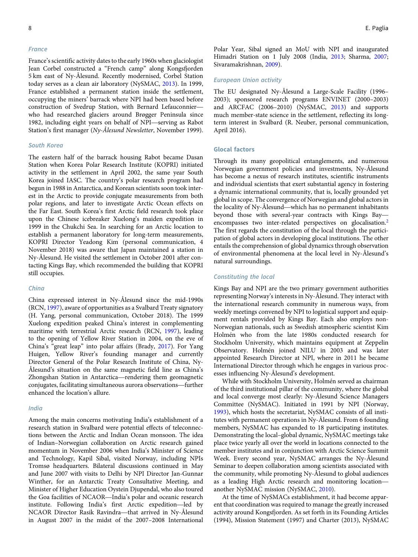### France

France's scientific activity dates to the early 1960s when glaciologist Jean Corbel constructed a "French camp" along Kongsfjorden 5 km east of Ny-Ålesund. Recently modernised, Corbel Station of the saturation in the settenty inducting the settem today serves as a clean air laboratory (NySMAC, [2013\)](#page-11-0). In 1999, France established a permanent station inside the settlement, occupying the miners' barrack where NPI h France established a permanent station inside the settlement, occupying the miners' barrack where NPI had been based before 1982, including eight years on behalf of NPI—serving as Rabot who had researched glaciers around Brøgger Peninsula since<br>1982, including eight years on behalf of NPI—serving as Rabot Station's first manager (Ny-Ålesund Newsletter, November 1999).

## South Korea

The eastern half of the barrack housing Rabot became Dasan Station when Korea Polar Research Institute (KOPRI) initiated activity in the settlement in April 2002, the same year South Korea joined IASC. The country's polar research program had begun in 1988 in Antarctica, and Korean scientists soon took interest in the Arctic to provide conjugate measurements from both polar regions, and later to investigate Arctic Ocean effects on the Far East. South Korea's first Arctic field research took place upon the Chinese icebreaker Xuelong's maiden expedition in 1999 in the Chukchi Sea. In searching for an Arctic location to establish a permanent laboratory for long-term measurements, KOPRI Director Yeadong Kim (personal communication, 4 November 2018) was aware that Japan maintained a station in Ny-Ålesund. He visited the settlement in October 2001 after contacting Kings Bay, which recommended the building that KOPRI still occupies.

# China

China expressed interest in Ny-Ålesund since the mid-1990s (RCN, [1997\)](#page-11-0), aware of opportunities as a Svalbard Treaty signatory (H. Yang, personal communication, October 2018). The 1999 Xuelong expedition peaked China's interest in complementing maritime with terrestrial Arctic research (RCN, [1997](#page-11-0)), leading to the opening of Yellow River Station in 2004, on the eve of China's "great leap" into polar affairs (Brady, [2017](#page-11-0)). For Yang Huigen, Yellow River's founding manager and currently Director General of the Polar Research Institute of China, Ny-Ålesund's situation on the same magnetic field line as China's China's great leap into polar analis (Brady, 2017). For Tang<br>Huigen, Yellow River's founding manager and currently<br>Director General of the Polar Research Institute of China, Ny-<br>Ålesund's situation on the same magnetic fie Fulgen, Fellow Kiver's Tounding manager and currently<br>Director General of the Polar Research Institute of China, Ny-<br>Ålesund's situation on the same magnetic field line as China's<br>Zhongshan Station in Antarctica—rendering enhanced the location's allure.

### India

Among the main concerns motivating India's establishment of a research station in Svalbard were potential effects of teleconnections between the Arctic and Indian Ocean monsoon. The idea of Indian–Norwegian collaboration on Arctic research gained momentum in November 2006 when India's Minister of Science and Technology, Kapil Sibal, visited Norway, including NPIs Tromsø headquarters. Bilateral discussions continued in May and June 2007 with visits to Delhi by NPI Director Jan-Gunnar Winther, for an Antarctic Treaty Consultative Meeting, and Minister of Higher Education Oystein Djupendal, who also toured Tromsø neadquariers. Buateral discussions continued in May<br>and June 2007 with visits to Delhi by NPI Director Jan-Gunnar<br>Winther, for an Antarctic Treaty Consultative Meeting, and<br>Minister of Higher Education Oystein Djupe and June 2007 with visits to Denn by NPI Director Jan-Guinlar<br>Winther, for an Antarctic Treaty Consultative Meeting, and<br>Minister of Higher Education Oystein Djupendal, who also toured<br>the Goa facilities of NCAOR—India's p Winnier, for an Antarctic Treaty Consulative Meeting, and<br>Minister of Higher Education Oystein Djupendal, who also toured<br>the Goa facilities of NCAOR—India's polar and oceanic research<br>institute. Following India's first Ar in August 2007 in the midst of the 2007–2008 International

Polar Year, Sibal signed an MoU with NPI and inaugurated Himadri Station on 1 July 2008 (India, [2013;](#page-11-0) Sharma, [2007](#page-12-0); Sivaramakrishnan, [2009](#page-12-0)).

### European Union activity

The EU designated Ny-Ålesund a Large-Scale Facility (1996– 2003); sponsored research programs ENVINET (2000–2003) and ARCFAC (2006–2010) (NySMAC, [2013\)](#page-11-0) and supports much member-state science in the settlement, reflecting its longterm interest in Svalbard (R. Neuber, personal communication, April 2016).

## Glocal factors

Through its many geopolitical entanglements, and numerous Norwegian government policies and investments, Ny-Ålesund has become a nexus of research institutes, scientific instruments and individual scientists that exert substantial agency in fostering a dynamic international community, that is, locally grounded yet global in scope. The convergence of Norwegian and global actors in the locality of the locality of Ny-Ålesund—which has no permanent inhabitants adynamic international community, that is, locally grounded yet global in scope. The convergence of Norwegian and global actors in the locality and muividual scientists that exert substantial agency in lostering<br>a dynamic international community, that is, locally grounded yet<br>global in scope. The convergence of Norwegian and global actors in<br>the locality of Ny-Åle encompasses two inter-related perspectives on glocalisation.<sup>[2](#page-11-0)</sup> The first regards the constitution of the local through the participation of global actors in developing glocal institutions. The other entails the comprehension of global dynamics through observation of environmental phenomena at the local level in Ny-Ålesund's natural surroundings.

## Constituting the local

Kings Bay and NPI are the two primary government authorities representing Norway's interests in Ny-Ålesund. They interact with the international research community in numerous ways, from weekly meetings convened by NPI to logistical support and equipment rentals provided by Kings Bay. Each also employs non-Norwegian nationals, such as Swedish atmospheric scientist Kim Holmén who from the late 1980s conducted research for Stockholm University, which maintains equipment at Zeppelin Observatory. Holmén joined NILU in 2003 and was later appointed Research Director at NPI, where in 2011 he became International Director through which he engages in various processes influencing Ny-Ålesund's development.

While with Stockholm University, Holmén served as chairman of the third institutional pillar of the community, where the global and local converge most clearly: Ny-Ålesund Science Managers Committee (NySMAC). Initiated in 1991 by NPI (Norway, [1993\)](#page-11-0), which hosts the secretariat, NySMAC consists of all institutes with permanent operations in Ny-Ålesund. From 6 founding members, NySMAC has expanded to 18 participating institutes. Demonstrating the local–global dynamic, NySMAC meetings take place twice yearly all over the world in locations connected to the member institutes and in conjunction with Arctic Science Summit Week. Every second year, NySMAC arranges the Ny-Ålesund Seminar to deepen collaboration among scientists associated with the community, while promoting Ny-Ålesund to global audiences member institutes and in conjunction with Arctic science summit<br>Week. Every second year, NySMAC arranges the Ny-Ålesund<br>Seminar to deepen collaboration among scientists associated with<br>the community, while promoting Ny-Åle another NySMAC mission (NySMAC, [2010\)](#page-11-0).

At the time of NySMACs establishment, it had become apparent that coordination was required to manage the greatly increased activity around Kongsfjorden. As set forth in its Founding Articles (1994), Mission Statement (1997) and Charter (2013), NySMAC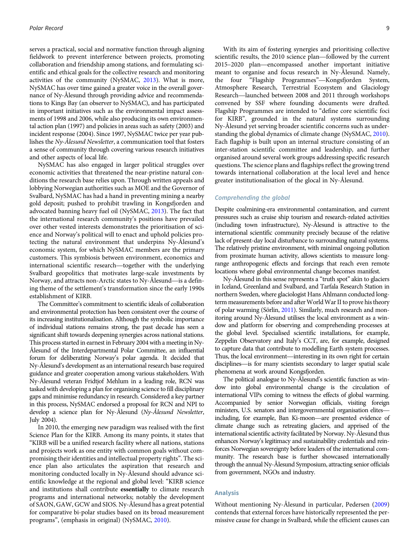serves a practical, social and normative function through aligning fieldwork to prevent interference between projects, promoting collaboration and friendship among stations, and formulating scientific and ethical goals for the collective research and monitoring activities of the community (NySMAC, [2013](#page-11-0)). What is more, NySMAC has over time gained a greater voice in the overall governance of Ny-Ålesund through providing advice and recommendations to Kings Bay (an observer to NySMAC), and has participated in important initiatives such as the environmental impact assessments of 1998 and 2006, while also producing its own environmental action plan (1997) and policies in areas such as safety (2003) and incident response (2004). Since 1997, NySMAC twice per year publishes the Ny-Ålesund Newsletter, a communication tool that fosters a sense of community through covering various research initiatives and other aspects of local life.

NySMAC has also engaged in larger political struggles over economic activities that threatened the near-pristine natural conditions the research base relies upon. Through written appeals and lobbying Norwegian authorities such as MOE and the Governor of Svalbard, NySMAC has had a hand in preventing mining a nearby gold deposit; pushed to prohibit trawling in Kongsfjorden and advocated banning heavy fuel oil (NySMAC, [2013\)](#page-11-0). The fact that the international research community's positions have prevailed over other vested interests demonstrates the prioritisation of science and Norway's political will to enact and uphold policies proence and Norway's pointcal will to enact and uphold policies pro-<br>tecting the natural environment that underpins Ny-Ålesund's<br>economic system, for which NySMAC members are the primary<br>customers. This symbiosis between envi economic system, for which NySMAC members are the primary customers. This symbiosis between environment, economics and Svalbard geopolitics that motivates large-scale investments by international scientific research—together with the underlying<br>Svalbard geopolitics that motivates large-scale investments by<br>Norway, and attracts non-Arctic states to Ny-Ålesund—is a defining theme of the settlement's transformation since the early 1990s establishment of KIRB.

The Committee's commitment to scientific ideals of collaboration and environmental protection has been consistent over the course of its increasing institutionalisation. Although the symbolic importance of individual stations remains strong, the past decade has seen a significant shift towards deepening synergies across national stations. This process started in earnest in February 2004 with a meeting in Ny-Ålesund of the Interdepartmental Polar Committee, an influential forum for deliberating Norway's polar agenda. It decided that Ny-Ålesund's development as an international research base required guidance and greater cooperation among various stakeholders. With Ny-Ålesund veteran Fridtjof Mehlum in a leading role, RCN was tasked with developing a plan for organising science to fill disciplinary gaps and minimise redundancy in research. Considered a key partner in this process, NySMAC endorsed a proposal for RCN and NPI to develop a science plan for Ny-Ålesund (Ny-Ålesund Newsletter, July 2004).

In 2010, the emerging new paradigm was realised with the first Science Plan for the KIRB. Among its many points, it states that "KIRB will be a unified research facility where all nations, stations and projects work as one entity with common goals without compromising their identities and intellectual property rights". The science plan also articulates the aspiration that research and monitoring conducted locally in Ny-Ålesund should advance scientific knowledge at the regional and global level: "KIRB science and institutions shall contribute essentially to climate research programs and international networks; notably the development of SAON, GAW, GCW and SIOS. Ny-Ålesund has a great potential for comparative bi-polar studies based on its broad measurement programs", (emphasis in original) (NySMAC, [2010\)](#page-11-0).

With its aim of fostering synergies and prioritising collective 9<br>With its aim of fostering synergies and prioritising collective<br>scientific results, the 2010 science plan—followed by the current With its aim of fostering synergies and prioritising collective<br>scientific results, the 2010 science plan—followed by the current<br>2015–2020 plan—encompassed another important initiative meant to organise and focus research in Ny-Ålesund. Namely, 2015–2020 plan—encompassed another important initiative<br>meant to organise and focus research in Ny-Ålesund. Namely,<br>the four "Flagship Programmes"—Kongsfjorden System, Atmosphere Research, Terrestrial Ecosystem and Glaciology 2013–2020 plan—encompassed another important initiative<br>meant to organise and focus research in Ny-Ålesund. Namely,<br>the four "Flagship Programmes"—Kongsfjorden System,<br>Atmosphere Research, Terrestrial Ecosystem and Glaciol convened by SSF where founding documents were drafted. Flagship Programmes are intended to "define core scientific foci for KIRB", grounded in the natural systems surrounding Ny-Ålesund yet serving broader scientific concerns such as understanding the global dynamics of climate change (NySMAC, [2010\)](#page-11-0). Each flagship is built upon an internal structure consisting of an inter-station scientific committee and leadership, and further organised around several work groups addressing specific research questions. The science plans and flagships reflect the growing trend towards international collaboration at the local level and hence greater institutionalisation of the glocal in Ny-Ålesund.

## Comprehending the global

Despite coalmining-era environmental contamination, and current pressures such as cruise ship tourism and research-related activities (including town infrastructure), Ny-Ålesund is attractive to the international scientific community precisely because of the relative lack of present-day local disturbance to surrounding natural systems. The relatively pristine environment, with minimal ongoing pollution from proximate human activity, allows scientists to measure longrange anthropogenic effects and forcings that reach even remote locations where global environmental change becomes manifest.

Ny-Ålesund in this sense represents a "truth spot" akin to glaciers in Iceland, Greenland and Svalbard, and Tarfala Research Station in northern Sweden, where glaciologist Hans Ahlmann conducted longterm measurements before and after World War II to prove his theory of polar warming (Sörlin, [2011](#page-12-0)). Similarly, much research and monitoring around Ny-Ålesund utilises the local environment as a window and platform for observing and comprehending processes at the global level. Specialised scientific installations, for example, Zeppelin Observatory and Italy's CCT, are, for example, designed to capture data that contribute to modelling Earth system processes. France was a platform for observing and comprenenting processes at<br>the global level. Specialised scientific installations, for example,<br>Zeppelin Observatory and Italy's CCT, are, for example, designed<br>to capture data that disciplines—is for example, designed scientinc installations, for example, designed<br>Zeppelin Observatory and Italy's CCT, are, for example, designed<br>to capture data that contribute to modelling Earth system processes.<br>Thus phenomena at work around Kongsfjorden.

The political analogue to Ny-Ålesund's scientific function as window into global environmental change is the circulation of international VIPs coming to witness the effects of global warming. Accompanied by senior Norwegian officials, visiting foreign The pointcal analogue to Ny-Alesund's scientific tunction as win-<br>dow into global environmental change is the circulation of<br>international VIPs coming to witness the effects of global warming.<br>Accompanied by senior Norwegi Find the material change is the circulation of<br>international VIPs coming to witness the effects of global warming.<br>Accompanied by senior Norwegian officials, visiting foreign<br>ministers, U.S. senators and intergovernmental climate change such as retreating glaciers, and apprised of the international scientific activity facilitated by Norway. Ny-Ålesund thus enhances Norway's legitimacy and sustainability credentials and reinforces Norwegian sovereignty before leaders of the international community. The research base is further showcased internationally through the annual Ny-Ålesund Symposium, attracting senior officials from government, NGOs and industry.

# Analysis

Without mentioning Ny-Ålesund in particular, Pedersen [\(2009\)](#page-11-0) contends that external forces have historically represented the permissive cause for change in Svalbard, while the efficient causes can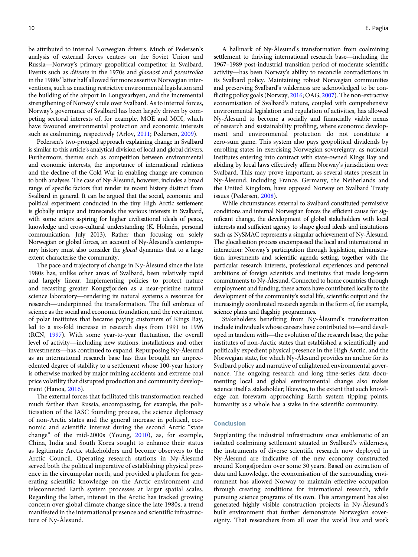be attributed to internal Norwegian drivers. Much of Pedersen's analysis of external forces centres on the Soviet Union and be attributed to internal Norwegian drivers. Much of Pedersen's<br>analysis of external forces centres on the Soviet Union and<br>Russia—Norway's primary geopolitical competitor in Svalbard. Events such as détente in the 1970s and glasnost and perestroika in the 1980s' latter half allowed for more assertive Norwegian interventions, such as enacting restrictive environmental legislation and the building of the airport in Longyearbyen, and the incremental strengthening of Norway's rule over Svalbard. As to internal forces, Norway's governance of Svalbard has been largely driven by competing sectoral interests of, for example, MOE and MOI, which have favoured environmental protection and economic interests such as coalmining, respectively (Arlov, [2011;](#page-11-0) Pedersen, [2009](#page-11-0)).

Pedersen's two-pronged approach explaining change in Svalbard is similar to this article's analytical division of local and global drivers. Furthermore, themes such as competition between environmental and economic interests, the importance of international relations and the decline of the Cold War in enabling change are common to both analyses. The case of Ny-Ålesund, however, includes a broad range of specific factors that render its recent history distinct from Svalbard in general. It can be argued that the social, economic and political experiment conducted in the tiny High Arctic settlement is globally unique and transcends the various interests in Svalbard, with some actors aspiring for higher civilisational ideals of peace, knowledge and cross-cultural understanding (K. Holmén, personal communication, July 2013). Rather than focusing on solely Norwegian or global forces, an account of Ny-Ålesund's contemporary history must also consider the glocal dynamics that to a large extent characterise the community.

The pace and trajectory of change in Ny-Ålesund since the late 1980s has, unlike other areas of Svalbard, been relatively rapid and largely linear. Implementing policies to protect nature and recasting greater Kongsfjorden as a near-pristine natural Fire pace and trajectory of change in Ny-Alesund since the late<br>1980s has, unlike other areas of Svalbard, been relatively rapid<br>and largely linear. Implementing policies to protect nature<br>and recasting greater Kongsfjorde 1980s has, unlike other areas of Svalbard, been relatively rapid<br>and largely linear. Implementing policies to protect nature<br>and recasting greater Kongsfjorden as a near-pristine natural<br>science laboratory—rendering its na science as the social and economic foundation, and the recruitment of polar institutes that became paying customers of Kings Bay, led to a six-fold increase in research days from 1991 to 1996 (RCN, [1997](#page-11-0)). With some year-to-year fluctuation, the overall science as the social and economic foundation, and the recruitment<br>of polar institutes that became paying customers of Kings Bay,<br>led to a six-fold increase in research days from 1991 to 1996<br>(RCN, 1997). With some year-to or polar institutes that became paying customers or Kings Bay,<br>led to a six-fold increase in research days from 1991 to 1996<br>(RCN, 1997). With some year-to-year fluctuation, the overall<br>level of activity—including new stat as an international research base has thus brought an unprecedented degree of stability to a settlement whose 100-year history is otherwise marked by major mining accidents and extreme coal price volatility that disrupted production and community development (Hanoa, [2016\)](#page-11-0).

The external forces that facilitated this transformation reached much farther than Russia, encompassing, for example, the politicisation of the IASC founding process, the science diplomacy of non-Arctic states and the general increase in political, economic and scientific interest during the second Arctic "state change" of the mid-2000s (Young, [2010](#page-12-0)), as, for example, China, India and South Korea sought to enhance their status as legitimate Arctic stakeholders and become observers to the Arctic Council. Operating research stations in Ny-Ålesund served both the political imperative of establishing physical presence in the circumpolar north, and provided a platform for generating scientific knowledge on the Arctic environment and teleconnected Earth system processes at larger spatial scales. Regarding the latter, interest in the Arctic has tracked growing concern over global climate change since the late 1980s, a trend manifested in the international presence and scientific infrastructure of Ny-Ålesund.

A hallmark of Ny-Ålesund's transformation from coalmining E. Paglia<br>A hallmark of Ny-Ålesund's transformation from coalmining<br>settlement to thriving international research base—including the 1967–1989 post-industrial transition period of moderate scientific A hallmark of Ny-Ålesund's transformation from coalmining<br>settlement to thriving international research base—including the<br>1967–1989 post-industrial transition period of moderate scientific<br>activity—has been Norway's abili its Svalbard policy. Maintaining robust Norwegian communities and preserving Svalbard's wilderness are acknowledged to be conflicting policy goals (Norway, [2016;](#page-11-0) OAG, [2007](#page-11-0)). The non-extractive economisation of Svalbard's nature, coupled with comprehensive environmental legislation and regulation of activities, has allowed Ny-Ålesund to become a socially and financially viable nexus of research and sustainability profiling, where economic development and environmental protection do not constitute a zero-sum game. This system also pays geopolitical dividends by enrolling states in exercising Norwegian sovereignty, as national institutes entering into contract with state-owned Kings Bay and abiding by local laws effectively affirm Norway's jurisdiction over Svalbard. This may prove important, as several states present in Ny-Ålesund, including France, Germany, the Netherlands and the United Kingdom, have opposed Norway on Svalbard Treaty issues (Pedersen, [2008\)](#page-11-0).

While circumstances external to Svalbard constituted permissive conditions and internal Norwegian forces the efficient cause for significant change, the development of global stakeholders with local interests and sufficient agency to shape glocal ideals and institutions such as NySMAC represents a singular achievement of Ny-Ålesund. The glocalisation process encompassed the local and international in interaction: Norway's participation through legislation, administration, investments and scientific agenda setting, together with the particular research interests, professional experiences and personal ambitions of foreign scientists and institutes that made long-term commitments to Ny-Ålesund. Connected to home countries through employment and funding, these actors have contributed locally to the development of the community's social life, scientific output and the increasingly coordinated research agenda in the form of, for example, science plans and flagship programmes. development of the community's social file, scientific output and the<br>increasingly coordinated research agenda in the form of, for example,<br>science plans and flagship programmes.<br>Stakeholders benefiting from Ny-Ålesund's t

Stakeholders benefiting from Ny-Ålesund's transformation include individuals whose careers have contributed to—and developed in tandem with—the evolution of the research base, the polar institutes of non-Arctic states that established a scientifically and politically expedient physical presence in the High Arctic, and the Norwegian state, for which Ny-Ålesund provides an anchor for its Svalbard policy and narrative of enlightened environmental governance. The ongoing research and long time-series data documenting local and global environmental change also makes science itself a stakeholder; likewise, to the extent that such knowledge can forewarn approaching Earth system tipping points, humanity as a whole has a stake in the scientific community.

## Conclusion

Supplanting the industrial infrastructure once emblematic of an isolated coalmining settlement situated in Svalbard's wilderness, the instruments of diverse scientific research now deployed in Ny-Ålesund are indicative of the new economy constructed around Kongsfjorden over some 30 years. Based on extraction of data and knowledge, the economisation of the surrounding environment has allowed Norway to maintain effective occupation through creating conditions for international research, while pursuing science programs of its own. This arrangement has also generated highly visible construction projects in Ny-Ålesund's built environment that further demonstrate Norwegian sovereignty. That researchers from all over the world live and work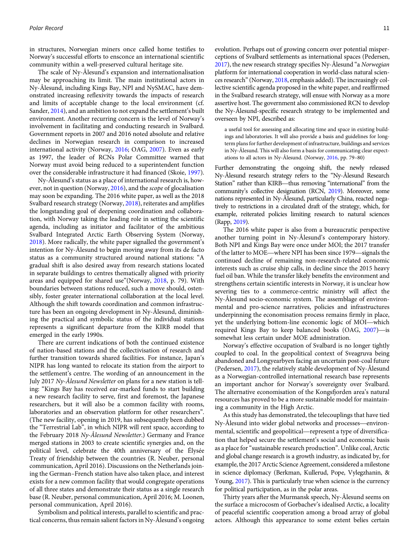in structures, Norwegian miners once called home testifies to Norway's successful efforts to ensconce an international scientific community within a well-preserved cultural heritage site.

The scale of Ny-Ålesund's expansion and internationalisation may be approaching its limit. The main institutional actors in Ny-Ålesund, including Kings Bay, NPI and NySMAC, have demonstrated increasing reflexivity towards the impacts of research and limits of acceptable change to the local environment (cf. Sander, [2014](#page-12-0)), and an ambition to not expand the settlement's built environment. Another recurring concern is the level of Norway's involvement in facilitating and conducting research in Svalbard. Government reports in 2007 and 2016 noted absolute and relative declines in Norwegian research in comparison to increased international activity (Norway, [2016](#page-11-0); OAG, [2007](#page-11-0)). Even as early as 1997, the leader of RCNs Polar Committee warned that Norway must avoid being reduced to a superintendent function over the considerable infrastructure it had financed (Skoie, [1997\)](#page-12-0).

Ny-Ålesund's status as a place of international research is, however, not in question (Norway, [2016\)](#page-11-0), and the scope of glocalisation may soon be expanding. The 2016 white paper, as well as the 2018 Svalbard research strategy (Norway, [2018\)](#page-11-0), reiterates and amplifies the longstanding goal of deepening coordination and collaboration, with Norway taking the leading role in setting the scientific agenda, including as initiator and facilitator of the ambitious Svalbard Integrated Arctic Earth Observing System (Norway, [2018](#page-11-0)). More radically, the white paper signalled the government's intention for Ny-Ålesund to begin moving away from its de facto status as a community structured around national stations: "A gradual shift is also desired away from research stations located in separate buildings to centres thematically aligned with priority areas and equipped for shared use"(Norway, [2018](#page-11-0), p. 79). With boundaries between stations reduced, such a move should, ostensibly, foster greater international collaboration at the local level. Although the shift towards coordination and common infrastructure has been an ongoing development in Ny-Ålesund, diminishing the practical and symbolic status of the individual stations represents a significant departure from the KIRB model that emerged in the early 1990s.

There are current indications of both the continued existence of nation-based stations and the collectivisation of research and further transition towards shared facilities. For instance, Japan's NIPR has long wanted to relocate its station from the airport to the settlement's centre. The wording of an announcement in the July 2017 Ny-Ålesund Newsletter on plans for a new station is telling: "Kings Bay has received ear-marked funds to start building a new research facility to serve, first and foremost, the Japanese researchers, but it will also be a common facility with rooms, laboratories and an observation platform for other researchers". (The new facility, opening in 2019, has subsequently been dubbed the "Terrestrial Lab", in which NIPR will rent space, according to the February 2018 Ny-Ålesund Newsletter.) Germany and France merged stations in 2003 to create scientific synergies and, on the political level, celebrate the 40th anniversary of the Élysée Treaty of friendship between the countries (R. Neuber, personal communication, April 2016). Discussions on the Netherlands joining the German–French station have also taken place, and interest exists for a new common facility that would congregate operations of all three states and demonstrate their status as a single research base (R. Neuber, personal communication, April 2016; M. Loonen, personal communication, April 2016).

Symbolism and political interests, parallel to scientific and practical concerns, thus remain salient factors in Ny-Ålesund's ongoing evolution. Perhaps out of growing concern over potential misperceptions of Svalbard settlements as international spaces (Pedersen, [2017\)](#page-11-0), the new research strategy specifies Ny-Ålesund "a Norwegian platform for international cooperation in world-class natural sciences research"(Norway, [2018](#page-11-0), emphasis added). The increasingly collective scientific agenda proposed in the white paper, and reaffirmed in the Svalbard research strategy, will ensue with Norway as a more assertive host. The government also commissioned RCN to develop the Ny-Ålesund-specific research strategy to be implemented and overseen by NPI, described as:

a useful tool for assessing and allocating time and space in existing buildings and laboratories. It will also provide a basis and guidelines for longterm plans for further development of infrastructure, buildings and services in Ny-Ålesund. This will also form a basis for communicating clear expectations to all actors in Ny-Ålesund. (Norway, [2016,](#page-11-0) pp. 79–80)

Further demonstrating the ongoing shift, the newly released Ny-Ålesund research strategy refers to the "Ny-Ålesund Research ations to all actors in Ny-Ålesund. (Norway, 2016, pp. 79–80)<br>Further demonstrating the ongoing shift, the newly released<br>Ny-Ålesund research strategy refers to the "Ny-Ålesund Research<br>Station" rather than KIRB—thus remov community's collective designation (RCN, [2019](#page-12-0)). Moreover, some nations represented in Ny-Ålesund, particularly China, reacted negatively to restrictions in a circulated draft of the strategy, which, for example, reiterated policies limiting research to natural sciences (Rapp, [2019\)](#page-11-0).

The 2016 white paper is also from a bureaucratic perspective another turning point in Ny-Ålesund's contemporary history. Both NPI and Kings Bay were once under MOI; the 2017 transfer of the latter to MOE—where NPI has been since 1979—signals the continued decline of remaining non-research-related economic interests such as cruise ship calls, in decline since the 2015 heavy fuel oil ban. While the transfer likely benefits the environment and strengthens certain scientific interests in Norway, it is unclear how severing ties to a commerce-centric ministry will affect the Ny-Ålesund socio-economic system. The assemblage of environmental and pro-science narratives, policies and infrastructures underpinning the economisation process remains firmly in place, severing ties to a commerce-centric ministry win anect the<br>Ny-Ålesund socio-economic system. The assemblage of environ-<br>mental and pro-science narratives, policies and infrastructures<br>underpinning the economisation process required and pro-science narratives, policies and infrastructures<br>underpinning the economisation process remains firmly in place,<br>yet the underlying bottom-line economic logic of MOI—which<br>required Kings Bay to keep balanc somewhat less certain under MOE administration.

Norway's effective occupation of Svalbard is no longer tightly coupled to coal. In the geopolitical context of Sveagruva being abandoned and Longyearbyen facing an uncertain post-coal future (Pedersen, [2017](#page-11-0)), the relatively stable development of Ny-Ålesund as a Norwegian-controlled international research base represents an important anchor for Norway's sovereignty over Svalbard. The alternative economisation of the Kongsfjorden area's natural resources has proved to be a more sustainable model for maintaining a community in the High Arctic. The anemative economisation of the Rongsijorden area's natural<br>resources has proved to be a more sustainable model for maintain-<br>ing a community in the High Arctic.<br>As this study has demonstrated, the telecouplings that ha

As this study has demonstrated, the telecouplings that have tied mental, scientific and geopolitical—represent a type of diversifica-<br>mental, scientific and geopolitical—represent a type of diversifica-<br>mental, scientific and geopolitical—represent a type of diversification that helped secure the settlement's social and economic basis as a place for"sustainable research production". Unlike coal, Arctic and global change research is a growth industry, as indicated by, for example, the 2017 Arctic Science Agreement, considered a milestone in science diplomacy (Berkman, Kullerud, Pope, Vylegzhanin, & Young, [2017\)](#page-11-0). This is particularly true when science is the currency for political participation, as in the polar areas.

Thirty years after the Murmansk speech, Ny-Ålesund seems on the surface a microcosm of Gorbachev's idealised Arctic, a locality of peaceful scientific cooperation among a broad array of global actors. Although this appearance to some extent belies certain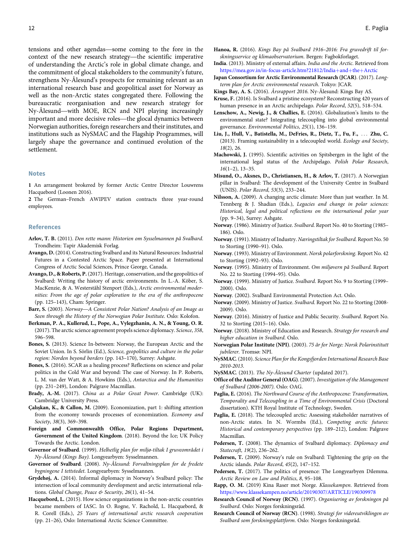<span id="page-11-0"></span>tensions and other agendas—some coming to the fore in the 12<br>tensions and other agendas—some coming to the fore in the<br>context of the new research strategy—the scientific imperative of understanding the Arctic's role in global climate change, and the commitment of glocal stakeholders to the community's future, strengthens Ny-Ålesund's prospects for remaining relevant as an international research base and geopolitical asset for Norway as well as the non-Arctic states congregated there. Following the bureaucratic reorganisation and new research strategy for Strengthens Ny-Alesund S prospects for remaining relevant as an<br>international research base and geopolitical asset for Norway as<br>well as the non-Arctic states congregated there. Following the<br>bureaucratic reorganisation an international research base and geopontical asset for Norway as<br>well as the non-Arctic states congregated there. Following the<br>bureaucratic reorganisation and new research strategy for<br>Ny-Ålesund—with MOE, RCN and NPI play Norwegian authorities, foreign researchers and their institutes, and institutions such as NySMAC and the Flagship Programmes, will largely shape the governance and continued evolution of the settlement.

#### Notes

1 An arrangement brokered by former Arctic Centre Director Louwrens Hacquebord (Loonen 2016).

2 The German–French AWIPEV station contracts three year-round employees.

#### References

- Arlov, T. B. (2011). Den rette mann: Historien om Sysselmannen på Svalbard. Trondheim: Tapir Akademisk Forlag.
- Avango, D. (2014). Constructing Svalbard and its Natural Resources: Industrial Futures in a Contested Arctic Space. Paper presented at International Congress of Arctic Social Sciences, Prince George, Canada.
- Avango, D., & Roberts, P. (2017). Heritage, conservation, and the geopolitics of Svalbard: Writing the history of arctic environments. In L.-A. Köber, S. MacKenzie, & A. Westerståhl Stenport (Eds.), Arctic environmental modernities: From the age of polar exploration to the era of the anthropocene (pp. 125–143), Cham: Springer.
- Barr, S. (2003). Norway—A Consistent Polar Nation? Analysis of an Image as Seen through the History of the Norwegian Polar Institute. Oslo: Kolofon.
- Berkman, P. A., Kullerud, L., Pope, A., Vylegzhanin, A. N., & Young, O. R. (2017). The arctic science agreement propels science diplomacy. Science, 358, 596–598.
- Bones, S. (2013). Science In-between: Norway, the European Arctic and the Soviet Union. In S. Sörlin (Ed.), Science, geopolitics and culture in the polar region: Norden beyond borders (pp. 143–170), Surrey: Ashgate.
- Bones, S. (2016). SCAR as a healing process? Reflections on science and polar politics in the Cold War and beyond: The case of Norway. In P. Roberts, L. M. van der Watt, & A. Howkins (Eds.), Antarctica and the Humanities (pp. 231–249), London: Palgrave Macmillan.
- Brady, A.-M. (2017). China as a Polar Great Power. Cambridge (UK): Cambridge University Press.
- Çalışkan, K., & Callon, M. (2009). Economization, part 1: shifting attention from the economy towards processes of economization. Economy and Society, 38(3), 369–398.
- Foreign and Commonwealth Office, Polar Regions Department, Government of the United Kingdom. (2018). Beyond the Ice; UK Policy Towards the Arctic. London.
- Governor of Svalbard. (1999). Helhetlig plan for miljø-tiltak I gruveområdet i Ny-Ålesund (Kings Bay). Longyearbyen: Sysselmannen.
- Governor of Svalbard. (2008). Ny-Ålesund: Forvaltningsplan for de fredete bygningene I tettstedet. Longyearbyen: Sysselmannen.
- Grydehøj, A. (2014). Informal diplomacy in Norway's Svalbard policy: The intersection of local community development and arctic international relations. Global Change, Peace & Security, 26(1), 41-54.
- Hacquebord, L. (2015). How science organizations in the non-arctic countries became members of IASC. In O. Rogne, V. Rachold, L. Hacquebord, & R. Corell (Eds.), 25 Years of international arctic research cooperation (pp. 21–26), Oslo: International Arctic Science Committee.
- Hanoa, R. (2016). Kings Bay på Svalbard 1916–2016: Fra gruvedrift til forskningsservice og klimaobservatorium. Bergen: Fagbokforlaget.
- India. (2013). Ministry of external affairs. India and the Arctic. Retrieved from [https://mea.gov.in/in-focus-article.htm?21812/India](https://mea.gov.in/in-focus-article.htm?21812/India+and+the+Arctic)+[and](https://mea.gov.in/in-focus-article.htm?21812/India+and+the+Arctic)+[the](https://mea.gov.in/in-focus-article.htm?21812/India+and+the+Arctic)+[Arctic](https://mea.gov.in/in-focus-article.htm?21812/India+and+the+Arctic)
- Japan Consortium for Arctic Environmental Research (JCAR). (2017). Longterm plan for Arctic environmental research. Tokyo: JCAR.
- Kings Bay, A. S. (2016). Årsrapport 2016. Ny-Ålesund: Kings Bay AS.
- Kruse, F. (2016). Is Svalbard a pristine ecosystem? Reconstructing 420 years of human presence in an Arctic archipelago. Polar Record, 52(5), 518–534.
- Lenschow, A., Newig, J., & Challies, E. (2016). Globalization's limits to the environmental state? Integrating telecoupling into global environmental governance. Environmental Politics, 25(1), 136–159.
- Liu, J., Hull, V., Batistella, M., DeFries, R., Dietz, T., Fu, F., ::: Zhu, C. (2013). Framing sustainability in a telecoupled world. Ecology and Society, 18(2), 26.
- Machowski, J. (1995). Scientific activities on Spitsbergen in the light of the international legal status of the Archipelago. Polish Polar Research, 16(1–2), 13–35.
- Misund, O., Aksnes, D., Christiansen, H., & Arlov, T. (2017). A Norwegian pillar in Svalbard: The development of the University Centre in Svalbard (UNIS). Polar Record, 53(3), 233–244.
- Nilsson, A. (2009). A changing arctic climate: More than just weather. In M. Tennberg & J. Shadian (Eds.), Legacies and change in polar sciences: Historical, legal and political reflections on the international polar year (pp. 9–34), Surrey: Ashgate.
- Norway. (1986). Ministry of Justice. Svalbard. Report No. 40 to Storting (1985– 186). Oslo.
- Norway. (1991). Ministry of Industry. Næringstiltak for Svalbard. Report No. 50 to Storting (1990–91). Oslo.
- Norway. (1993). Ministry of Environment. Norsk polarforskning. Report No. 42 to Storting (1992–93). Oslo.
- Norway. (1995). Ministry of Environment. Om miljøvern på Svalbard. Report No. 22 to Storting (1994–95). Oslo.
- Norway. (1999). Ministry of Justice. Svalbard. Report No. 9 to Storting (1999– 2000). Oslo.
- Norway. (2002). Svalbard Environmental Protection Act. Oslo.
- Norway. (2009). Ministry of Justice. Svalbard. Report No. 22 to Storting (2008- 2009). Oslo.
- Norway. (2016). Ministry of Justice and Public Security. Svalbard. Report No. 32 to Storting (2015–16). Oslo.
- Norway. (2018). Ministry of Education and Research. Strategy for research and higher education in Svalbard. Oslo.
- Norwegian Polar Institute (NPI). (2003). 75 år for Norge: Norsk Polarinstitutt jubilerer. Tromsø: NPI.
- NySMAC. (2010). Science Plan for the Kongsfjorden International Research Base 2010-2013.
- NySMAC. (2013). The Ny-Ålesund Charter (updated 2017).
- Office of the Auditor General (OAG). (2007). Investigation of the Management of Svalbard (2006-2007). Oslo: OAG.
- Paglia, E. (2016). The Northward Course of the Anthropocene: Transformation, Temporality and Telecoupling in a Time of Environmental Crisis (Doctoral dissertation). KTH Royal Institute of Technology, Sweden.
- Paglia, E. (2018). The telecoupled arctic: Assessing stakeholder narratives of non-Arctic states. In N. Wormbs (Ed.), Competing arctic futures: Historical and contemporary perspectives (pp. 189–212), London: Palgrave Macmillan.
- Pedersen, T. (2008). The dynamics of Svalbard diplomacy. Diplomacy and Statecraft, 19(2), 236–262.
- Pedersen, T. (2009). Norway's rule on Svalbard: Tightening the grip on the Arctic islands. Polar Record, 45(2), 147–152.
- Pedersen, T. (2017). The politics of presence: The Longyearbyen Dilemma. Arctic Review on Law and Politics, 8, 95–108.
- Rapp, O. M. (2019) Kina Raser mot Norge. Klassekampen. Retrieved from <https://www.klassekampen.no/article/20190307/ARTICLE/190309978>
- Research Council of Norway (RCN). (1997). Organisering av forskningen på Svalbard. Oslo: Norges forskningsråd.
- Research Council of Norway (RCN). (1998). Strategi for videreutviklingen av Svalbard som forskningsplattform. Oslo: Norges forskningsråd.